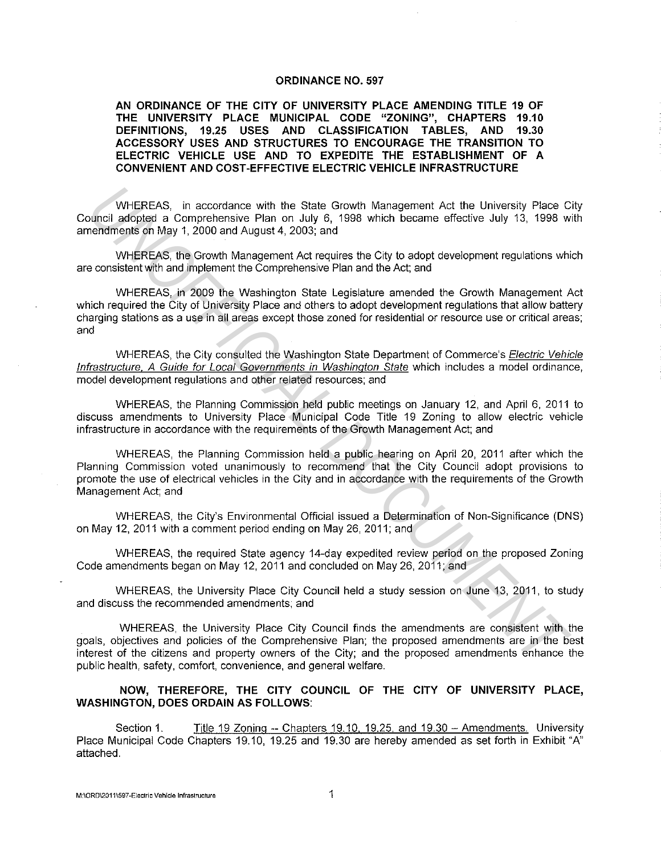#### **ORDINANCE NO. 597**

**AN ORDINANCE OF THE CITY OF UNIVERSITY PLACE AMENDING TITLE 19 OF THE UNIVERSITY PLACE MUNICIPAL CODE "ZONING", CHAPTERS 19.10 DEFINITIONS, 19.25 USES AND CLASSIFICATION TABLES, AND 19.30 ACCESSORY USES AND STRUCTURES TO ENCOURAGE THE TRANSITION TO ELECTRIC VEHICLE USE AND TO EXPEDITE THE ESTABLISHMENT OF A CONVENIENT AND COST-EFFECTIVE ELECTRIC VEHICLE INFRASTRUCTURE** 

WHEREAS, in accordance with the State Growth Management Act the University Place City Council adopted a Comprehensive Plan on July 6, 1998 which became effective July 13, 1998 with amendments on May 1, 2000 and August 4, 2003; and

WHEREAS, the Growth Management Act requires the City to adopt development regulations which are consistent with and implement the Comprehensive Plan and the Act; and

WHEREAS, in 2009 the Washington State Legislature amended the Growth Management Act which required the City of University Place and others to adopt development regulations that allow battery charging stations as a use in all areas except those zoned for residential or resource use or critical areas; and WHEREAS, in accordance with the State Growth Management Act the University Place compendiate a Comprehensive Plan on July 16, 1998 which became effective July 13, 1998 when<br>then fractions and August 4, 2003, and<br>when the m

WHEREAS, the City consulted the Washington State Department of Commerce's Electric Vehicle Infrastructure, A Guide for Local Governments in Washington State which includes a model ordinance, model development regulations and other related resources; and

WHEREAS, the Planning Commission held public meetings on January 12, and April 6, 2011 to discuss amendments to University Place Municipal Code Title 19 Zoning to allow electric vehicle infrastructure in accordance with the requirements of the Growth Management Act; and

WHEREAS, the Planning Commission held a public hearing on April 20, 2011 after which the Planning Commission voted unanimously to recommend that the City Council adopt provisions to promote the use of electrical vehicles in the City and in accordance with the requirements of the Growth Management Act; and

WHEREAS, the City's Environmental Official issued a Determination of Non-Significance (DNS) on May 12, 2011 with a comment period ending on May 26, 2011; and

WHEREAS, the required State agency 14-day expedited review period on the proposed Zoning Code amendments began on May 12, 2011 and concluded on May 26, 2011; and

WHEREAS, the University Place City Council held a study session on June 13, 2011, to study and discuss the recommended amendments; and

WHEREAS, the University Place City Council finds the amendments are consistent with the goals, objectives and policies of the Comprehensive Plan; the proposed amendments are in the best interest of the citizens and property owners of the City; and the proposed amendments enhance the public health, safety, comfort, convenience, and general welfare.

#### **NOW, THEREFORE, THE CITY COUNCIL OF THE CITY OF UNIVERSITY PLACE, WASHINGTON, DOES ORDAIN AS FOLLOWS:**

Section 1. Title 19 Zoning -- Chapters 19.10, 19.25, and 19.30 -- Amendments. University Place Municipal Code Chapters 19.10, 19.25 and 19.30 are hereby amended as set forth in Exhibit "A" attached.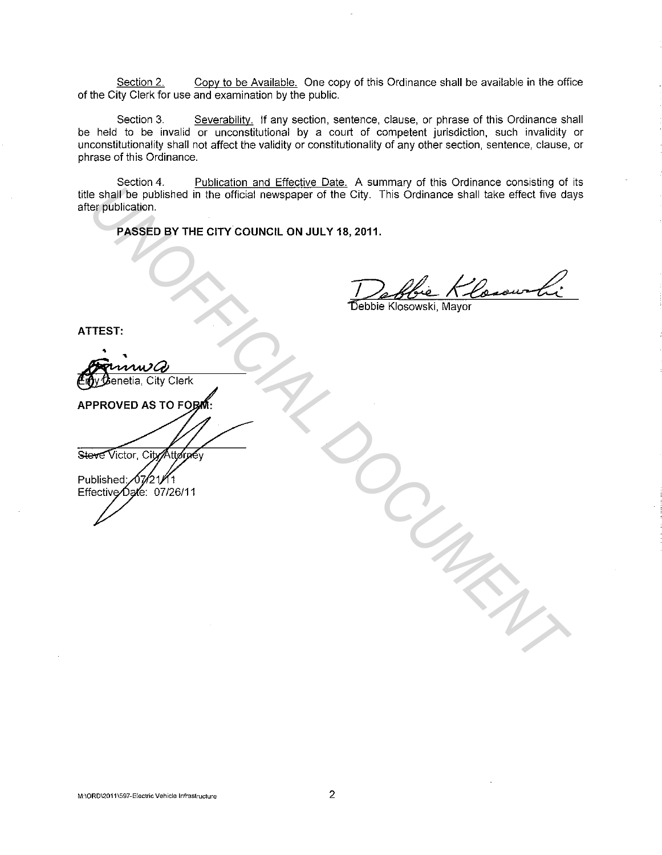Section 2. Copy to be Available. One copy of this Ordinance shall be available in the office of the City Clerk for use and examination by the public.

Section 3. Severability. If any section, sentence, clause, or phrase of this Ordinance shall be held to be invalid or unconstitutional by a court of competent jurisdiction, such invalidity or unconstitutionality shall not affect the validity or constitutionality of any other section, sentence, clause, or phrase of this Ordinance.

Section 4. Publication and Effective Date. A summary of this Ordinance consisting of its title shall be published in the official newspaper of the City. This Ordinance shall take effect five days after publication. **UNIFICIAL CONSTRUCTION**<br>
The published in the official newspaper of the City. This Ordinance shall lake effect two day<br>
PASSED BY THE CITY COUNCIL ON JULY 18, 2011.<br>
PASSED BY THE CITY COUNCIL ON JULY 18, 2011.<br>
Testing t

**PASSED BY THE CITY COUNCIL ON JULY 18, 2011.** 

**ATTEST:**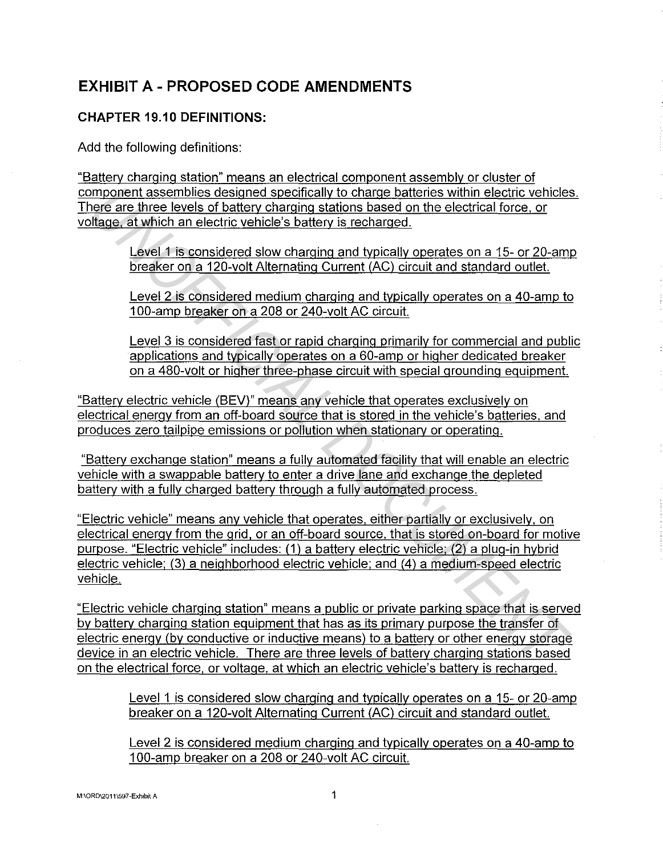# **EXHIBIT A - PROPOSED CODE AMENDMENTS**

### **CHAPTER 19.10 DEFINITIONS:**

Add the following definitions:

"Battery charging station" means an electrical component assembly or cluster of component assemblies designed specifically to charge batteries within electric vehicles. There are three levels of battery charging stations based on the electrical force, or voltage, at which an electric vehicle's battery is recharged.

> Level 1 is considered slow charging and typically operates on a 15- or 20-amp breaker on a 120-volt Alternating Current (AC) circuit and standard outlet.

> Level 2 is considered medium charging and typically operates on a 40-amp to 100-amp breaker on a 208 or 240-volt AC circuit.

Level 3 is considered fast or rapid charging primarily for commercial and public applications and typically operates on a 60-amp or higher dedicated breaker on a 480-volt or higher three-phase circuit with special grounding equipment.

"Battery electric vehicle (BEV)" means any vehicle that operates exclusively on electrical energy from an off-board source that is stored in the vehicle's batteries. and produces zero tailpipe emissions or pollution when stationary or operating.

"Battery exchange station" means a fully automated facility that will enable an electric vehicle with a swappable battery to enter a drive lane and exchange the depleted battery with a fully charged battery through a fully automated process.

"Electric vehicle" means any vehicle that operates, either partially or exclusively, on electrical energy from the grid, or an off-board source. that is stored on-board for motive purpose. "Electric vehicle" includes: (1) a battery electric vehicle; (2) a plug-in hybrid electric vehicle; (3) a neighborhood electric vehicle; and (4) a medium-speed electric vehicle. **Examples designed specifically to charge batteries within electric vehicles<br>
<u>Plage, at which an electric vehicles</u> battery is recharged.<br>
<u>Ulage, at which an electric vehicles</u> battery is recharged.<br>
<u>Ulage, at which an** </u>

"Electric vehicle charging station" means a public or private parking space that is served by battery charging station equipment that has as its primary purpose the transfer of electric energy (by conductive or inductive means) to a battery or other energy storage device in an electric vehicle. There are three levels of battery charging stations based on the electrical force, or voltage, at which an electric vehicle's battery is recharged.

Level 1 is considered slow charging and typically operates on a 15- or 20-amp breaker on a 120-volt Alternating Current (AC) circuit and standard outlet.

Level 2 is considered medium charging and typically operates on a 40-amp to 100-amp breaker on a 208 or 240-volt AC circuit.